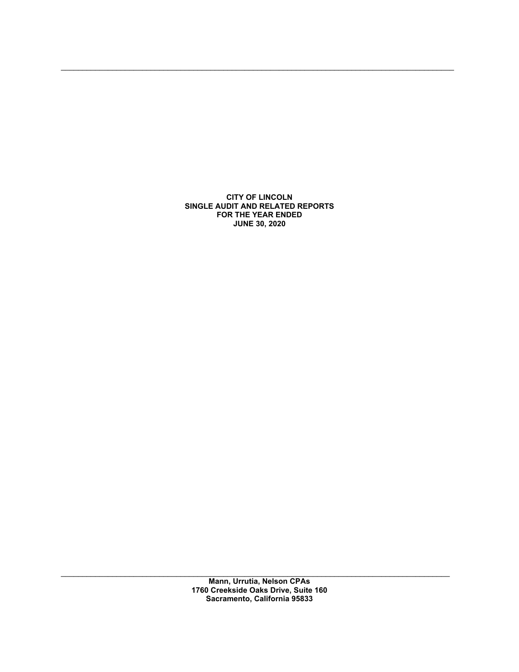CITY OF LINCOLN SINGLE AUDIT AND RELATED REPORTS FOR THE YEAR ENDED JUNE 30, 2020

 $\mathcal{L}_\mathcal{L} = \{ \mathcal{L}_\mathcal{L} = \{ \mathcal{L}_\mathcal{L} = \{ \mathcal{L}_\mathcal{L} = \{ \mathcal{L}_\mathcal{L} = \{ \mathcal{L}_\mathcal{L} = \{ \mathcal{L}_\mathcal{L} = \{ \mathcal{L}_\mathcal{L} = \{ \mathcal{L}_\mathcal{L} = \{ \mathcal{L}_\mathcal{L} = \{ \mathcal{L}_\mathcal{L} = \{ \mathcal{L}_\mathcal{L} = \{ \mathcal{L}_\mathcal{L} = \{ \mathcal{L}_\mathcal{L} = \{ \mathcal{L}_\mathcal{$ 

 $\mathcal{L}_\mathcal{L} = \{ \mathcal{L}_\mathcal{L} = \{ \mathcal{L}_\mathcal{L} = \{ \mathcal{L}_\mathcal{L} = \{ \mathcal{L}_\mathcal{L} = \{ \mathcal{L}_\mathcal{L} = \{ \mathcal{L}_\mathcal{L} = \{ \mathcal{L}_\mathcal{L} = \{ \mathcal{L}_\mathcal{L} = \{ \mathcal{L}_\mathcal{L} = \{ \mathcal{L}_\mathcal{L} = \{ \mathcal{L}_\mathcal{L} = \{ \mathcal{L}_\mathcal{L} = \{ \mathcal{L}_\mathcal{L} = \{ \mathcal{L}_\mathcal{$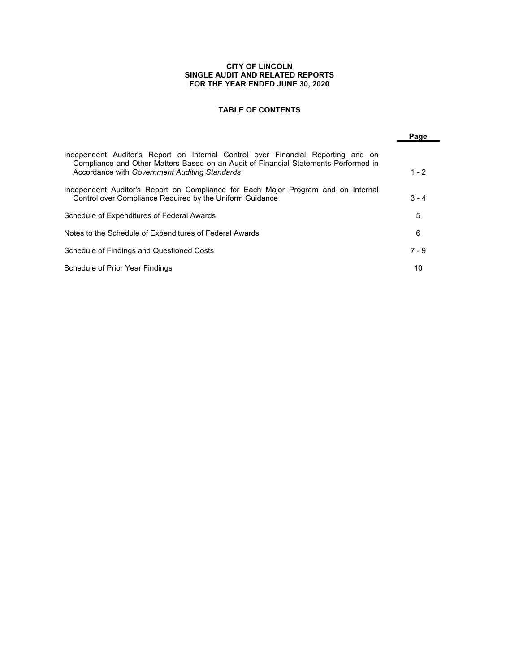#### CITY OF LINCOLN SINGLE AUDIT AND RELATED REPORTS FOR THE YEAR ENDED JUNE 30, 2020

# TABLE OF CONTENTS

|                                                                                                                                                                                                                          | Page    |
|--------------------------------------------------------------------------------------------------------------------------------------------------------------------------------------------------------------------------|---------|
| Independent Auditor's Report on Internal Control over Financial Reporting and on<br>Compliance and Other Matters Based on an Audit of Financial Statements Performed in<br>Accordance with Government Auditing Standards | $1 - 2$ |
| Independent Auditor's Report on Compliance for Each Major Program and on Internal<br>Control over Compliance Required by the Uniform Guidance                                                                            | $3 - 4$ |
| Schedule of Expenditures of Federal Awards                                                                                                                                                                               | 5       |
| Notes to the Schedule of Expenditures of Federal Awards                                                                                                                                                                  | 6       |
| Schedule of Findings and Questioned Costs                                                                                                                                                                                | $7 - 9$ |
| Schedule of Prior Year Findings                                                                                                                                                                                          | 10      |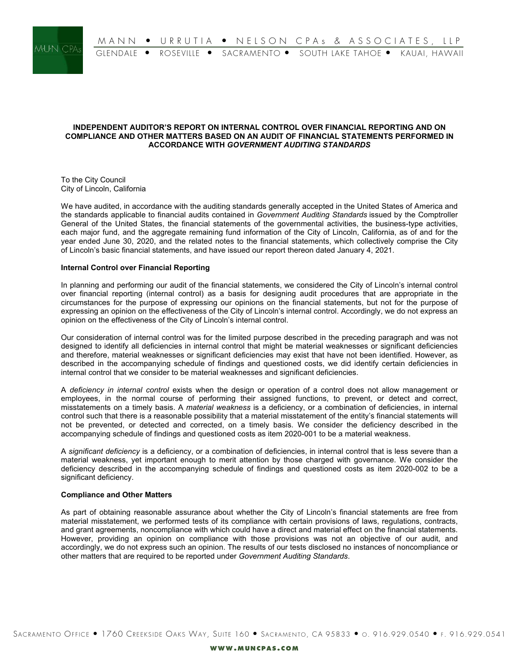

### INDEPENDENT AUDITOR'S REPORT ON INTERNAL CONTROL OVER FINANCIAL REPORTING AND ON COMPLIANCE AND OTHER MATTERS BASED ON AN AUDIT OF FINANCIAL STATEMENTS PERFORMED IN ACCORDANCE WITH GOVERNMENT AUDITING STANDARDS

To the City Council City of Lincoln, California

We have audited, in accordance with the auditing standards generally accepted in the United States of America and the standards applicable to financial audits contained in Government Auditing Standards issued by the Comptroller General of the United States, the financial statements of the governmental activities, the business-type activities, each major fund, and the aggregate remaining fund information of the City of Lincoln, California, as of and for the year ended June 30, 2020, and the related notes to the financial statements, which collectively comprise the City of Lincoln's basic financial statements, and have issued our report thereon dated January 4, 2021.

### Internal Control over Financial Reporting

In planning and performing our audit of the financial statements, we considered the City of Lincoln's internal control over financial reporting (internal control) as a basis for designing audit procedures that are appropriate in the circumstances for the purpose of expressing our opinions on the financial statements, but not for the purpose of expressing an opinion on the effectiveness of the City of Lincoln's internal control. Accordingly, we do not express an opinion on the effectiveness of the City of Lincoln's internal control.

Our consideration of internal control was for the limited purpose described in the preceding paragraph and was not designed to identify all deficiencies in internal control that might be material weaknesses or significant deficiencies and therefore, material weaknesses or significant deficiencies may exist that have not been identified. However, as described in the accompanying schedule of findings and questioned costs, we did identify certain deficiencies in internal control that we consider to be material weaknesses and significant deficiencies.

A deficiency in internal control exists when the design or operation of a control does not allow management or employees, in the normal course of performing their assigned functions, to prevent, or detect and correct, misstatements on a timely basis. A material weakness is a deficiency, or a combination of deficiencies, in internal control such that there is a reasonable possibility that a material misstatement of the entity's financial statements will not be prevented, or detected and corrected, on a timely basis. We consider the deficiency described in the accompanying schedule of findings and questioned costs as item 2020-001 to be a material weakness.

A significant deficiency is a deficiency, or a combination of deficiencies, in internal control that is less severe than a material weakness, yet important enough to merit attention by those charged with governance. We consider the deficiency described in the accompanying schedule of findings and questioned costs as item 2020-002 to be a significant deficiency.

#### Compliance and Other Matters

As part of obtaining reasonable assurance about whether the City of Lincoln's financial statements are free from material misstatement, we performed tests of its compliance with certain provisions of laws, regulations, contracts, and grant agreements, noncompliance with which could have a direct and material effect on the financial statements. However, providing an opinion on compliance with those provisions was not an objective of our audit, and accordingly, we do not express such an opinion. The results of our tests disclosed no instances of noncompliance or other matters that are required to be reported under Government Auditing Standards.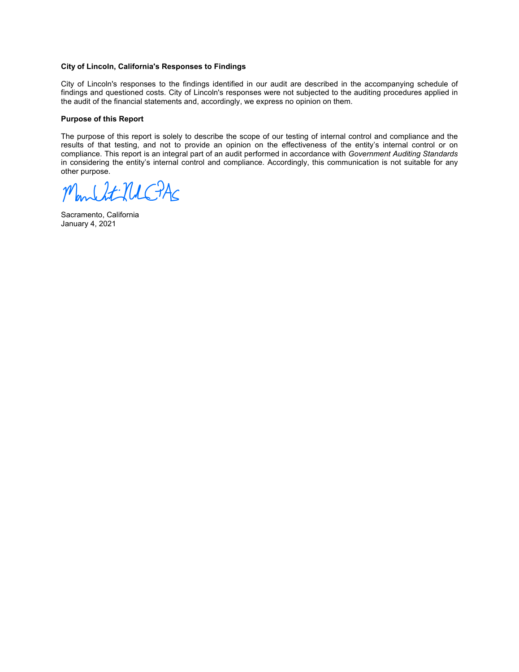### City of Lincoln, California's Responses to Findings

City of Lincoln's responses to the findings identified in our audit are described in the accompanying schedule of findings and questioned costs. City of Lincoln's responses were not subjected to the auditing procedures applied in the audit of the financial statements and, accordingly, we express no opinion on them.

#### Purpose of this Report

The purpose of this report is solely to describe the scope of our testing of internal control and compliance and the results of that testing, and not to provide an opinion on the effectiveness of the entity's internal control or on compliance. This report is an integral part of an audit performed in accordance with Government Auditing Standards in considering the entity's internal control and compliance. Accordingly, this communication is not suitable for any other purpose.

March Lt-NUC-PAC

Sacramento, California January 4, 2021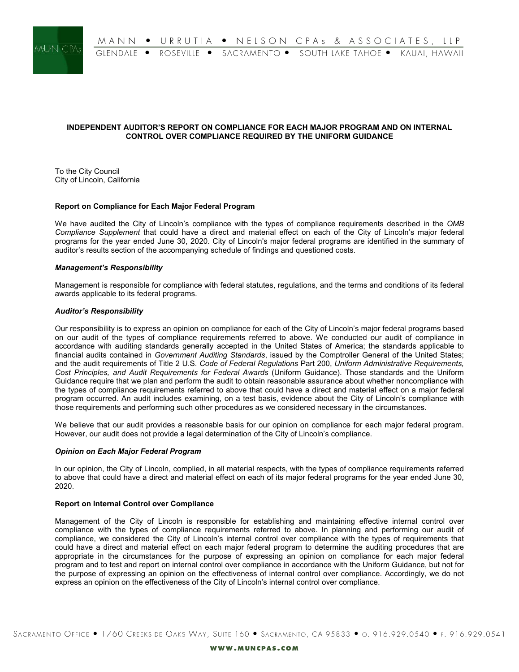

# INDEPENDENT AUDITOR'S REPORT ON COMPLIANCE FOR EACH MAJOR PROGRAM AND ON INTERNAL CONTROL OVER COMPLIANCE REQUIRED BY THE UNIFORM GUIDANCE

To the City Council City of Lincoln, California

### Report on Compliance for Each Major Federal Program

We have audited the City of Lincoln's compliance with the types of compliance requirements described in the OMB Compliance Supplement that could have a direct and material effect on each of the City of Lincoln's major federal programs for the year ended June 30, 2020. City of Lincoln's major federal programs are identified in the summary of auditor's results section of the accompanying schedule of findings and questioned costs.

### Management's Responsibility

Management is responsible for compliance with federal statutes, regulations, and the terms and conditions of its federal awards applicable to its federal programs.

### Auditor's Responsibility

Our responsibility is to express an opinion on compliance for each of the City of Lincoln's major federal programs based on our audit of the types of compliance requirements referred to above. We conducted our audit of compliance in accordance with auditing standards generally accepted in the United States of America; the standards applicable to financial audits contained in Government Auditing Standards, issued by the Comptroller General of the United States; and the audit requirements of Title 2 U.S. Code of Federal Regulations Part 200, Uniform Administrative Requirements, Cost Principles, and Audit Requirements for Federal Awards (Uniform Guidance). Those standards and the Uniform Guidance require that we plan and perform the audit to obtain reasonable assurance about whether noncompliance with the types of compliance requirements referred to above that could have a direct and material effect on a major federal program occurred. An audit includes examining, on a test basis, evidence about the City of Lincoln's compliance with those requirements and performing such other procedures as we considered necessary in the circumstances.

We believe that our audit provides a reasonable basis for our opinion on compliance for each major federal program. However, our audit does not provide a legal determination of the City of Lincoln's compliance.

#### Opinion on Each Major Federal Program

In our opinion, the City of Lincoln, complied, in all material respects, with the types of compliance requirements referred to above that could have a direct and material effect on each of its major federal programs for the year ended June 30, 2020.

#### Report on Internal Control over Compliance

Management of the City of Lincoln is responsible for establishing and maintaining effective internal control over compliance with the types of compliance requirements referred to above. In planning and performing our audit of compliance, we considered the City of Lincoln's internal control over compliance with the types of requirements that could have a direct and material effect on each major federal program to determine the auditing procedures that are appropriate in the circumstances for the purpose of expressing an opinion on compliance for each major federal program and to test and report on internal control over compliance in accordance with the Uniform Guidance, but not for the purpose of expressing an opinion on the effectiveness of internal control over compliance. Accordingly, we do not express an opinion on the effectiveness of the City of Lincoln's internal control over compliance.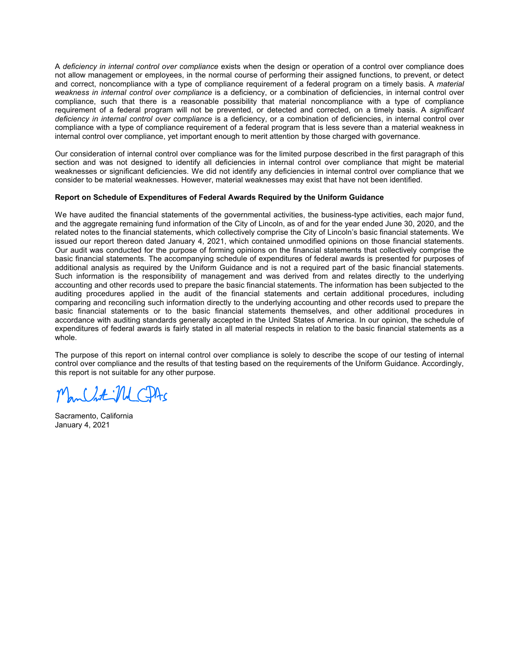A deficiency in internal control over compliance exists when the design or operation of a control over compliance does not allow management or employees, in the normal course of performing their assigned functions, to prevent, or detect and correct, noncompliance with a type of compliance requirement of a federal program on a timely basis. A material weakness in internal control over compliance is a deficiency, or a combination of deficiencies, in internal control over compliance, such that there is a reasonable possibility that material noncompliance with a type of compliance requirement of a federal program will not be prevented, or detected and corrected, on a timely basis. A significant deficiency in internal control over compliance is a deficiency, or a combination of deficiencies, in internal control over compliance with a type of compliance requirement of a federal program that is less severe than a material weakness in internal control over compliance, yet important enough to merit attention by those charged with governance.

Our consideration of internal control over compliance was for the limited purpose described in the first paragraph of this section and was not designed to identify all deficiencies in internal control over compliance that might be material weaknesses or significant deficiencies. We did not identify any deficiencies in internal control over compliance that we consider to be material weaknesses. However, material weaknesses may exist that have not been identified.

### Report on Schedule of Expenditures of Federal Awards Required by the Uniform Guidance

We have audited the financial statements of the governmental activities, the business-type activities, each major fund, and the aggregate remaining fund information of the City of Lincoln, as of and for the year ended June 30, 2020, and the related notes to the financial statements, which collectively comprise the City of Lincoln's basic financial statements. We issued our report thereon dated January 4, 2021, which contained unmodified opinions on those financial statements. Our audit was conducted for the purpose of forming opinions on the financial statements that collectively comprise the basic financial statements. The accompanying schedule of expenditures of federal awards is presented for purposes of additional analysis as required by the Uniform Guidance and is not a required part of the basic financial statements. Such information is the responsibility of management and was derived from and relates directly to the underlying accounting and other records used to prepare the basic financial statements. The information has been subjected to the auditing procedures applied in the audit of the financial statements and certain additional procedures, including comparing and reconciling such information directly to the underlying accounting and other records used to prepare the basic financial statements or to the basic financial statements themselves, and other additional procedures in accordance with auditing standards generally accepted in the United States of America. In our opinion, the schedule of expenditures of federal awards is fairly stated in all material respects in relation to the basic financial statements as a whole.

The purpose of this report on internal control over compliance is solely to describe the scope of our testing of internal control over compliance and the results of that testing based on the requirements of the Uniform Guidance. Accordingly, this report is not suitable for any other purpose.

 $J = M$ 

Sacramento, California January 4, 2021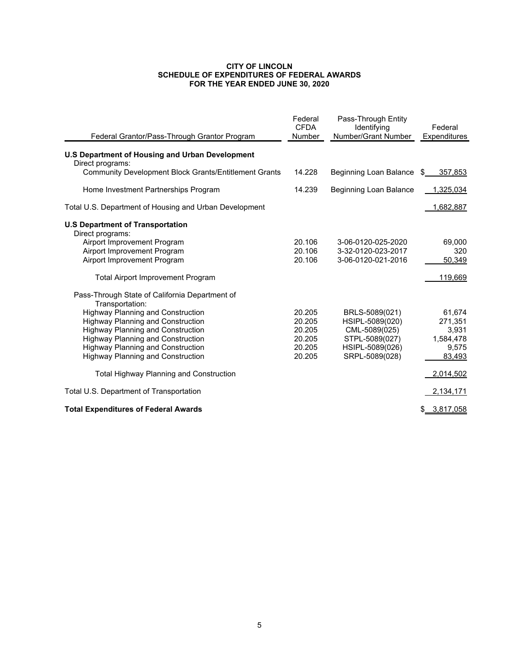#### CITY OF LINCOLN SCHEDULE OF EXPENDITURES OF FEDERAL AWARDS FOR THE YEAR ENDED JUNE 30, 2020

| Federal Grantor/Pass-Through Grantor Program                                     | Federal<br><b>CFDA</b><br><b>Number</b> | Pass-Through Entity<br>Identifying<br>Number/Grant Number | Federal<br><b>Expenditures</b> |
|----------------------------------------------------------------------------------|-----------------------------------------|-----------------------------------------------------------|--------------------------------|
| <b>U.S Department of Housing and Urban Development</b>                           |                                         |                                                           |                                |
| Direct programs:<br><b>Community Development Block Grants/Entitlement Grants</b> | 14.228                                  |                                                           |                                |
|                                                                                  |                                         | Beginning Loan Balance \$                                 | 357,853                        |
| Home Investment Partnerships Program                                             | 14.239                                  | Beginning Loan Balance                                    | 1,325,034                      |
| Total U.S. Department of Housing and Urban Development                           |                                         |                                                           | 1,682,887                      |
| <b>U.S Department of Transportation</b>                                          |                                         |                                                           |                                |
| Direct programs:                                                                 |                                         |                                                           |                                |
| Airport Improvement Program                                                      | 20.106                                  | 3-06-0120-025-2020                                        | 69,000                         |
| Airport Improvement Program                                                      | 20.106                                  | 3-32-0120-023-2017                                        | 320                            |
| Airport Improvement Program                                                      | 20.106                                  | 3-06-0120-021-2016                                        | 50,349                         |
| <b>Total Airport Improvement Program</b>                                         |                                         |                                                           | 119,669                        |
| Pass-Through State of California Department of                                   |                                         |                                                           |                                |
| Transportation:<br><b>Highway Planning and Construction</b>                      | 20.205                                  |                                                           | 61,674                         |
| <b>Highway Planning and Construction</b>                                         | 20.205                                  | BRLS-5089(021)<br>HSIPL-5089(020)                         | 271,351                        |
| <b>Highway Planning and Construction</b>                                         | 20.205                                  | CML-5089(025)                                             | 3,931                          |
| <b>Highway Planning and Construction</b>                                         | 20.205                                  | STPL-5089(027)                                            | 1,584,478                      |
| <b>Highway Planning and Construction</b>                                         | 20.205                                  | HSIPL-5089(026)                                           | 9,575                          |
| <b>Highway Planning and Construction</b>                                         | 20.205                                  | SRPL-5089(028)                                            | 83,493                         |
|                                                                                  |                                         |                                                           |                                |
| <b>Total Highway Planning and Construction</b>                                   |                                         |                                                           | 2,014,502                      |
| Total U.S. Department of Transportation                                          |                                         |                                                           | 2,134,171                      |
| <b>Total Expenditures of Federal Awards</b>                                      |                                         |                                                           | \$ 3,817,058                   |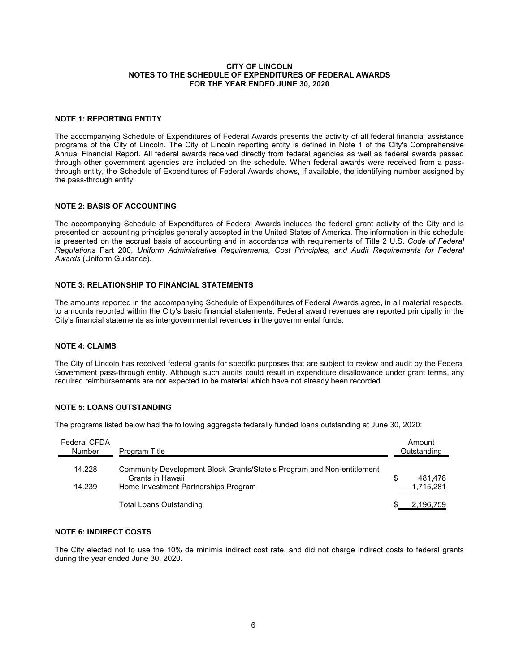#### CITY OF LINCOLN NOTES TO THE SCHEDULE OF EXPENDITURES OF FEDERAL AWARDS FOR THE YEAR ENDED JUNE 30, 2020

### NOTE 1: REPORTING ENTITY

The accompanying Schedule of Expenditures of Federal Awards presents the activity of all federal financial assistance programs of the City of Lincoln. The City of Lincoln reporting entity is defined in Note 1 of the City's Comprehensive Annual Financial Report. All federal awards received directly from federal agencies as well as federal awards passed through other government agencies are included on the schedule. When federal awards were received from a passthrough entity, the Schedule of Expenditures of Federal Awards shows, if available, the identifying number assigned by the pass-through entity.

### NOTE 2: BASIS OF ACCOUNTING

The accompanying Schedule of Expenditures of Federal Awards includes the federal grant activity of the City and is presented on accounting principles generally accepted in the United States of America. The information in this schedule is presented on the accrual basis of accounting and in accordance with requirements of Title 2 U.S. Code of Federal Regulations Part 200, Uniform Administrative Requirements, Cost Principles, and Audit Requirements for Federal Awards (Uniform Guidance).

# NOTE 3: RELATIONSHIP TO FINANCIAL STATEMENTS

The amounts reported in the accompanying Schedule of Expenditures of Federal Awards agree, in all material respects, to amounts reported within the City's basic financial statements. Federal award revenues are reported principally in the City's financial statements as intergovernmental revenues in the governmental funds.

# NOTE 4: CLAIMS

The City of Lincoln has received federal grants for specific purposes that are subject to review and audit by the Federal Government pass-through entity. Although such audits could result in expenditure disallowance under grant terms, any required reimbursements are not expected to be material which have not already been recorded.

# NOTE 5: LOANS OUTSTANDING

The programs listed below had the following aggregate federally funded loans outstanding at June 30, 2020:

| <b>Federal CFDA</b><br><b>Number</b> | Program Title                                                                              |   | Amount<br>Outstanding |
|--------------------------------------|--------------------------------------------------------------------------------------------|---|-----------------------|
| 14.228                               | Community Development Block Grants/State's Program and Non-entitlement<br>Grants in Hawaii | S | 481.478               |
| 14.239                               | Home Investment Partnerships Program                                                       |   | 1,715,281             |
|                                      | <b>Total Loans Outstanding</b>                                                             |   | 2,196,759             |

# NOTE 6: INDIRECT COSTS

The City elected not to use the 10% de minimis indirect cost rate, and did not charge indirect costs to federal grants during the year ended June 30, 2020.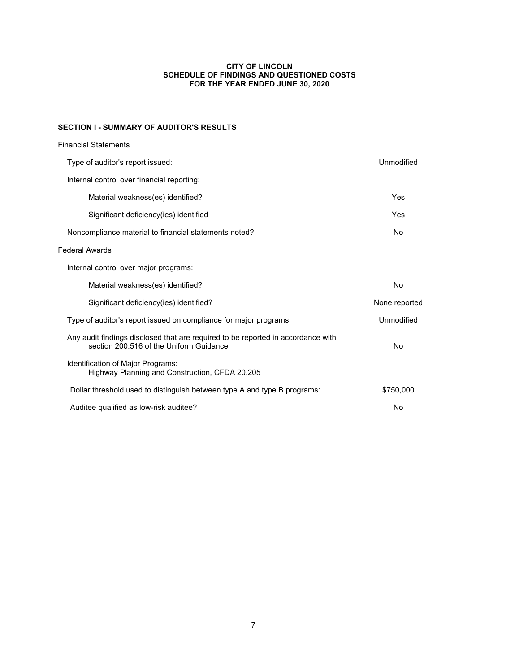### CITY OF LINCOLN SCHEDULE OF FINDINGS AND QUESTIONED COSTS FOR THE YEAR ENDED JUNE 30, 2020

# SECTION I - SUMMARY OF AUDITOR'S RESULTS

| <b>Financial Statements</b>                                                                                                 |               |
|-----------------------------------------------------------------------------------------------------------------------------|---------------|
| Type of auditor's report issued:                                                                                            | Unmodified    |
| Internal control over financial reporting:                                                                                  |               |
| Material weakness(es) identified?                                                                                           | Yes           |
| Significant deficiency(ies) identified                                                                                      | Yes           |
| Noncompliance material to financial statements noted?                                                                       | No            |
| <b>Federal Awards</b>                                                                                                       |               |
| Internal control over major programs:                                                                                       |               |
| Material weakness(es) identified?                                                                                           | No            |
| Significant deficiency(ies) identified?                                                                                     | None reported |
| Type of auditor's report issued on compliance for major programs:                                                           | Unmodified    |
| Any audit findings disclosed that are required to be reported in accordance with<br>section 200.516 of the Uniform Guidance | No            |
| Identification of Major Programs:<br>Highway Planning and Construction, CFDA 20.205                                         |               |
| Dollar threshold used to distinguish between type A and type B programs:                                                    | \$750,000     |
| Auditee qualified as low-risk auditee?                                                                                      | No            |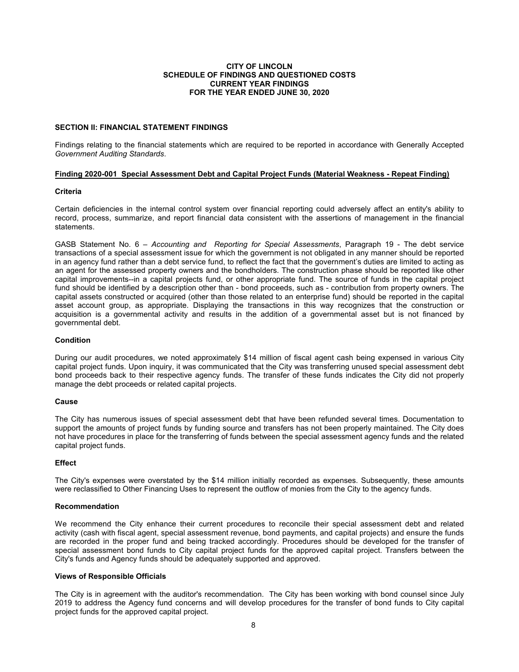### CITY OF LINCOLN SCHEDULE OF FINDINGS AND QUESTIONED COSTS CURRENT YEAR FINDINGS FOR THE YEAR ENDED JUNE 30, 2020

### SECTION II: FINANCIAL STATEMENT FINDINGS

Findings relating to the financial statements which are required to be reported in accordance with Generally Accepted Government Auditing Standards.

#### Finding 2020-001 Special Assessment Debt and Capital Project Funds (Material Weakness - Repeat Finding)

### Criteria

Certain deficiencies in the internal control system over financial reporting could adversely affect an entity's ability to record, process, summarize, and report financial data consistent with the assertions of management in the financial statements.

GASB Statement No. 6 – Accounting and Reporting for Special Assessments. Paragraph 19 - The debt service transactions of a special assessment issue for which the government is not obligated in any manner should be reported in an agency fund rather than a debt service fund, to reflect the fact that the government's duties are limited to acting as an agent for the assessed property owners and the bondholders. The construction phase should be reported like other capital improvements--in a capital projects fund, or other appropriate fund. The source of funds in the capital project fund should be identified by a description other than - bond proceeds, such as - contribution from property owners. The capital assets constructed or acquired (other than those related to an enterprise fund) should be reported in the capital asset account group, as appropriate. Displaying the transactions in this way recognizes that the construction or acquisition is a governmental activity and results in the addition of a governmental asset but is not financed by governmental debt.

### **Condition**

During our audit procedures, we noted approximately \$14 million of fiscal agent cash being expensed in various City capital project funds. Upon inquiry, it was communicated that the City was transferring unused special assessment debt bond proceeds back to their respective agency funds. The transfer of these funds indicates the City did not properly manage the debt proceeds or related capital projects.

#### Cause

The City has numerous issues of special assessment debt that have been refunded several times. Documentation to support the amounts of project funds by funding source and transfers has not been properly maintained. The City does not have procedures in place for the transferring of funds between the special assessment agency funds and the related capital project funds.

### **Effect**

The City's expenses were overstated by the \$14 million initially recorded as expenses. Subsequently, these amounts were reclassified to Other Financing Uses to represent the outflow of monies from the City to the agency funds.

### Recommendation

We recommend the City enhance their current procedures to reconcile their special assessment debt and related activity (cash with fiscal agent, special assessment revenue, bond payments, and capital projects) and ensure the funds are recorded in the proper fund and being tracked accordingly. Procedures should be developed for the transfer of special assessment bond funds to City capital project funds for the approved capital project. Transfers between the City's funds and Agency funds should be adequately supported and approved.

# Views of Responsible Officials

The City is in agreement with the auditor's recommendation. The City has been working with bond counsel since July 2019 to address the Agency fund concerns and will develop procedures for the transfer of bond funds to City capital project funds for the approved capital project.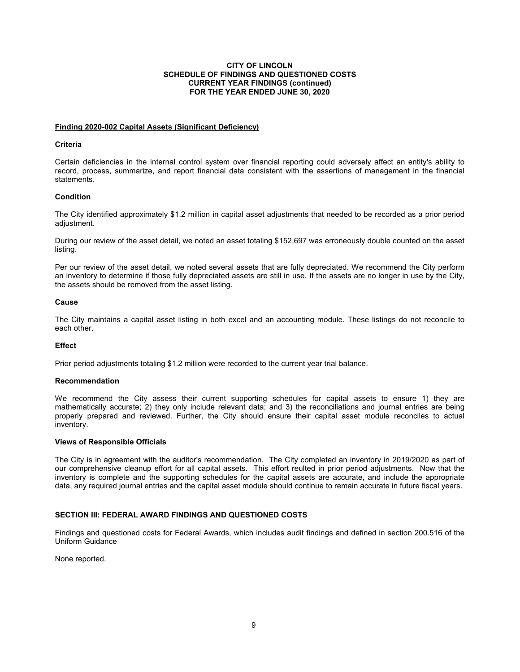# **CITY OF LINCOLN SCHEDULE OF FINDINGS AND QUESTIONED COSTS CURRENT YEAR FINDINGS (continued) FOR THE YEAR ENDED JUNE 30, 2020**

### **Finding 2020-002 Capital Assets (Significant Deficiency)**

# **Criteria**

Certain deficiencies in the internal control system over financial reporting could adversely affect an entity's ability to record, process, summarize, and report financial data consistent with the assertions of management in the financial statements.

# **Condition**

The City identified approximately \$1.2 million in capital asset adjustments that needed to be recorded as a prior period adjustment.

During our review of the asset detail, we noted an asset totaling \$152,697 was erroneously double counted on the asset listing.

Per our review of the asset detail, we noted several assets that are fully depreciated. We recommend the City perform an inventory to determine if those fully depreciated assets are still in use. If the assets are no longer in use by the City, the assets should be removed from the asset listing.

### **Cause**

The City maintains a capital asset listing in both excel and an accounting module. These listings do not reconcile to each other.

#### **Effect**

Prior period adjustments totaling \$1.2 million were recorded to the current year trial balance.

#### **Recommendation**

We recommend the City assess their current supporting schedules for capital assets to ensure 1) they are mathematically accurate; 2) they only include relevant data; and 3) the reconciliations and journal entries are being properly prepared and reviewed. Further, the City should ensure their capital asset module reconciles to actual inventory.

#### **Views of Responsible Officials**

The City is in agreement with the auditor's recommendation. The City completed an inventory in 2019/2020 as part of our comprehensive cleanup effort for all capital assets. This effort reulted in prior period adjustments. Now that the inventory is complete and the supporting schedules for the capital assets are accurate, and include the appropriate data, any required journal entries and the capital asset module should continue to remain accurate in future fiscal years.

# **SECTION III: FEDERAL AWARD FINDINGS AND QUESTIONED COSTS**

Findings and questioned costs for Federal Awards, which includes audit findings and defined in section 200.516 of the Uniform Guidance

None reported.